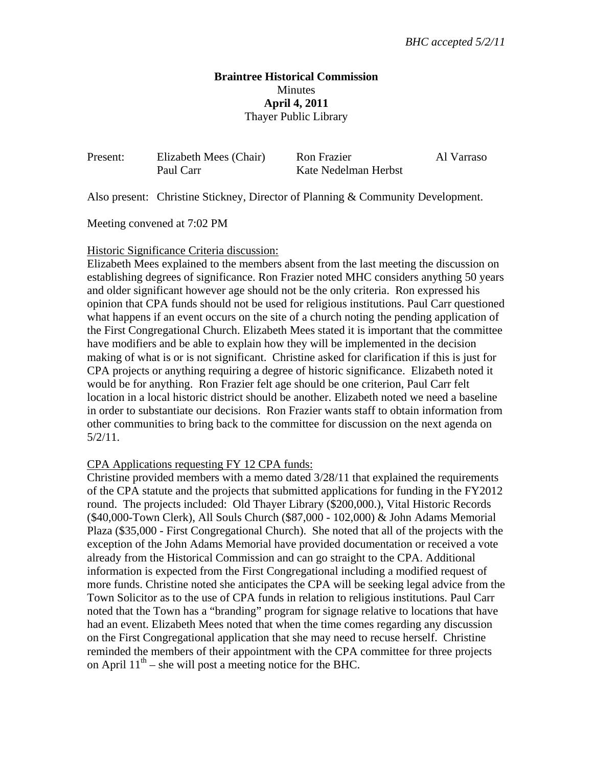### **Braintree Historical Commission Minutes April 4, 2011**  Thayer Public Library

| Present: | Elizabeth Mees (Chair) | Ron Frazier          | Al Varraso |
|----------|------------------------|----------------------|------------|
|          | Paul Carr              | Kate Nedelman Herbst |            |

Also present: Christine Stickney, Director of Planning & Community Development.

Meeting convened at 7:02 PM

#### Historic Significance Criteria discussion:

Elizabeth Mees explained to the members absent from the last meeting the discussion on establishing degrees of significance. Ron Frazier noted MHC considers anything 50 years and older significant however age should not be the only criteria. Ron expressed his opinion that CPA funds should not be used for religious institutions. Paul Carr questioned what happens if an event occurs on the site of a church noting the pending application of the First Congregational Church. Elizabeth Mees stated it is important that the committee have modifiers and be able to explain how they will be implemented in the decision making of what is or is not significant. Christine asked for clarification if this is just for CPA projects or anything requiring a degree of historic significance. Elizabeth noted it would be for anything. Ron Frazier felt age should be one criterion, Paul Carr felt location in a local historic district should be another. Elizabeth noted we need a baseline in order to substantiate our decisions. Ron Frazier wants staff to obtain information from other communities to bring back to the committee for discussion on the next agenda on 5/2/11.

#### CPA Applications requesting FY 12 CPA funds:

Christine provided members with a memo dated 3/28/11 that explained the requirements of the CPA statute and the projects that submitted applications for funding in the FY2012 round. The projects included: Old Thayer Library (\$200,000.), Vital Historic Records (\$40,000-Town Clerk), All Souls Church (\$87,000 - 102,000) & John Adams Memorial Plaza (\$35,000 - First Congregational Church). She noted that all of the projects with the exception of the John Adams Memorial have provided documentation or received a vote already from the Historical Commission and can go straight to the CPA. Additional information is expected from the First Congregational including a modified request of more funds. Christine noted she anticipates the CPA will be seeking legal advice from the Town Solicitor as to the use of CPA funds in relation to religious institutions. Paul Carr noted that the Town has a "branding" program for signage relative to locations that have had an event. Elizabeth Mees noted that when the time comes regarding any discussion on the First Congregational application that she may need to recuse herself. Christine reminded the members of their appointment with the CPA committee for three projects on April  $11<sup>th</sup>$  – she will post a meeting notice for the BHC.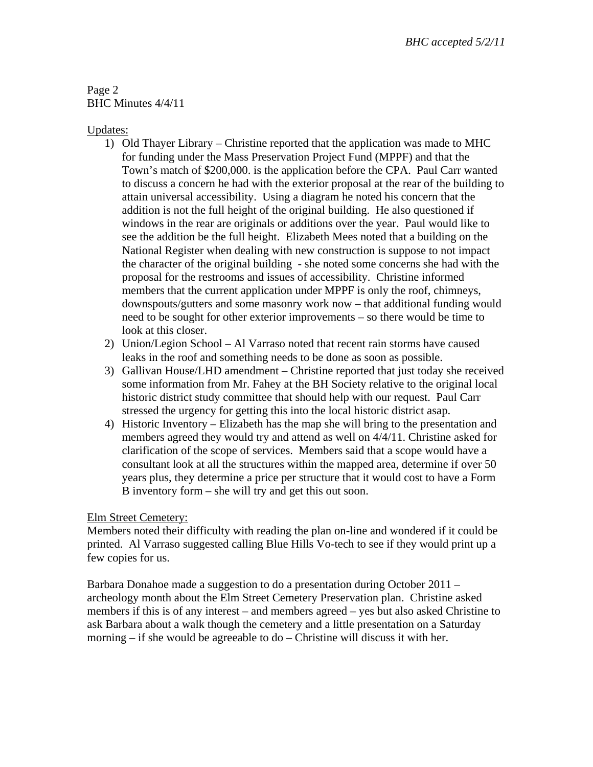# Page 2 BHC Minutes 4/4/11

## Updates:

- 1) Old Thayer Library Christine reported that the application was made to MHC for funding under the Mass Preservation Project Fund (MPPF) and that the Town's match of \$200,000. is the application before the CPA. Paul Carr wanted to discuss a concern he had with the exterior proposal at the rear of the building to attain universal accessibility. Using a diagram he noted his concern that the addition is not the full height of the original building. He also questioned if windows in the rear are originals or additions over the year. Paul would like to see the addition be the full height. Elizabeth Mees noted that a building on the National Register when dealing with new construction is suppose to not impact the character of the original building - she noted some concerns she had with the proposal for the restrooms and issues of accessibility. Christine informed members that the current application under MPPF is only the roof, chimneys, downspouts/gutters and some masonry work now – that additional funding would need to be sought for other exterior improvements – so there would be time to look at this closer.
- 2) Union/Legion School Al Varraso noted that recent rain storms have caused leaks in the roof and something needs to be done as soon as possible.
- 3) Gallivan House/LHD amendment Christine reported that just today she received some information from Mr. Fahey at the BH Society relative to the original local historic district study committee that should help with our request. Paul Carr stressed the urgency for getting this into the local historic district asap.
- 4) Historic Inventory Elizabeth has the map she will bring to the presentation and members agreed they would try and attend as well on 4/4/11. Christine asked for clarification of the scope of services. Members said that a scope would have a consultant look at all the structures within the mapped area, determine if over 50 years plus, they determine a price per structure that it would cost to have a Form B inventory form – she will try and get this out soon.

# Elm Street Cemetery:

Members noted their difficulty with reading the plan on-line and wondered if it could be printed. Al Varraso suggested calling Blue Hills Vo-tech to see if they would print up a few copies for us.

Barbara Donahoe made a suggestion to do a presentation during October 2011 – archeology month about the Elm Street Cemetery Preservation plan. Christine asked members if this is of any interest – and members agreed – yes but also asked Christine to ask Barbara about a walk though the cemetery and a little presentation on a Saturday morning – if she would be agreeable to do – Christine will discuss it with her.